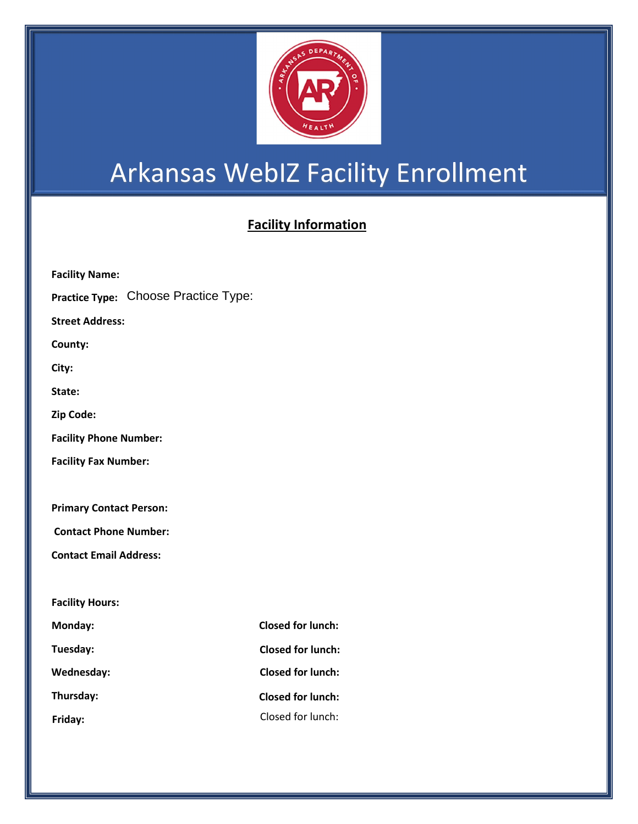

## Arkansas WebIZ Facility Enrollment

## **Facility Information**

| <b>Facility Name:</b>          |                              |                          |
|--------------------------------|------------------------------|--------------------------|
| <b>Practice Type:</b>          | <b>Choose Practice Type:</b> |                          |
| <b>Street Address:</b>         |                              |                          |
| County:                        |                              |                          |
| City:                          |                              |                          |
| State:                         |                              |                          |
| Zip Code:                      |                              |                          |
| <b>Facility Phone Number:</b>  |                              |                          |
| <b>Facility Fax Number:</b>    |                              |                          |
|                                |                              |                          |
| <b>Primary Contact Person:</b> |                              |                          |
| <b>Contact Phone Number:</b>   |                              |                          |
| <b>Contact Email Address:</b>  |                              |                          |
|                                |                              |                          |
| <b>Facility Hours:</b>         |                              |                          |
| Monday:                        |                              | <b>Closed for lunch:</b> |
| Tuesday:                       |                              | <b>Closed for lunch:</b> |
| Wednesday:                     |                              | <b>Closed for lunch:</b> |
| Thursday:                      |                              | <b>Closed for lunch:</b> |
| Friday:                        |                              | Closed for lunch:        |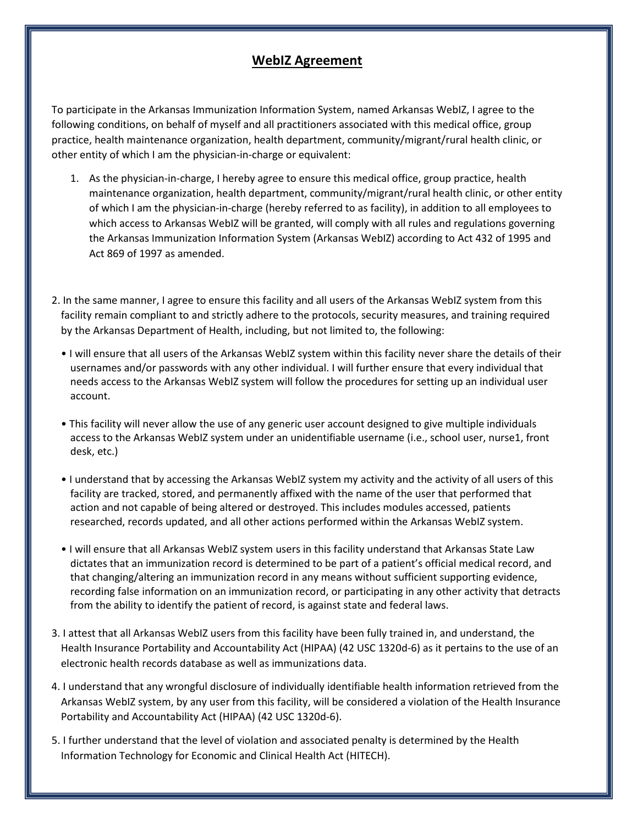## **WebIZ Agreement**

To participate in the Arkansas Immunization Information System, named Arkansas WebIZ, I agree to the following conditions, on behalf of myself and all practitioners associated with this medical office, group practice, health maintenance organization, health department, community/migrant/rural health clinic, or other entity of which I am the physician-in-charge or equivalent:

- 1. As the physician-in-charge, I hereby agree to ensure this medical office, group practice, health maintenance organization, health department, community/migrant/rural health clinic, or other entity of which I am the physician-in-charge (hereby referred to as facility), in addition to all employees to which access to Arkansas WebIZ will be granted, will comply with all rules and regulations governing the Arkansas Immunization Information System (Arkansas WebIZ) according to Act 432 of 1995 and Act 869 of 1997 as amended.
- 2. In the same manner, I agree to ensure this facility and all users of the Arkansas WebIZ system from this facility remain compliant to and strictly adhere to the protocols, security measures, and training required by the Arkansas Department of Health, including, but not limited to, the following:
	- I will ensure that all users of the Arkansas WebIZ system within this facility never share the details of their usernames and/or passwords with any other individual. I will further ensure that every individual that needs access to the Arkansas WebIZ system will follow the procedures for setting up an individual user account.
	- This facility will never allow the use of any generic user account designed to give multiple individuals access to the Arkansas WebIZ system under an unidentifiable username (i.e., school user, nurse1, front desk, etc.)
	- I understand that by accessing the Arkansas WebIZ system my activity and the activity of all users of this facility are tracked, stored, and permanently affixed with the name of the user that performed that action and not capable of being altered or destroyed. This includes modules accessed, patients researched, records updated, and all other actions performed within the Arkansas WebIZ system.
	- I will ensure that all Arkansas WebIZ system users in this facility understand that Arkansas State Law dictates that an immunization record is determined to be part of a patient's official medical record, and that changing/altering an immunization record in any means without sufficient supporting evidence, recording false information on an immunization record, or participating in any other activity that detracts from the ability to identify the patient of record, is against state and federal laws.
- 3. I attest that all Arkansas WebIZ users from this facility have been fully trained in, and understand, the Health Insurance Portability and Accountability Act (HIPAA) (42 USC 1320d-6) as it pertains to the use of an electronic health records database as well as immunizations data.
- 4. I understand that any wrongful disclosure of individually identifiable health information retrieved from the Arkansas WebIZ system, by any user from this facility, will be considered a violation of the Health Insurance Portability and Accountability Act (HIPAA) (42 USC 1320d-6).
- 5. I further understand that the level of violation and associated penalty is determined by the Health Information Technology for Economic and Clinical Health Act (HITECH).